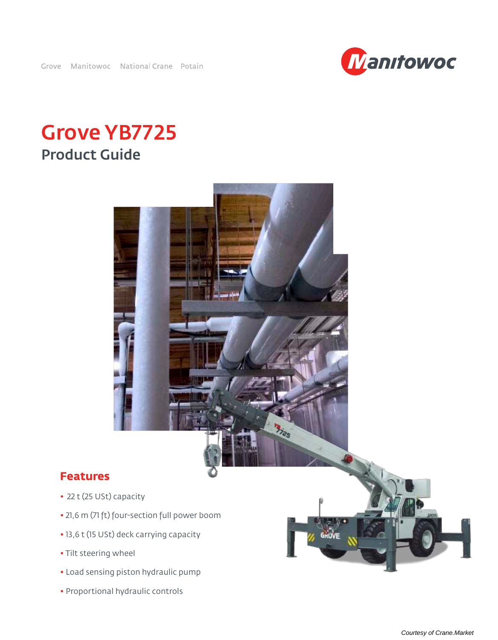

# Grove YB7725 Product Guide



- Load sensing piston hydraulic pump
- Proportional hydraulic controls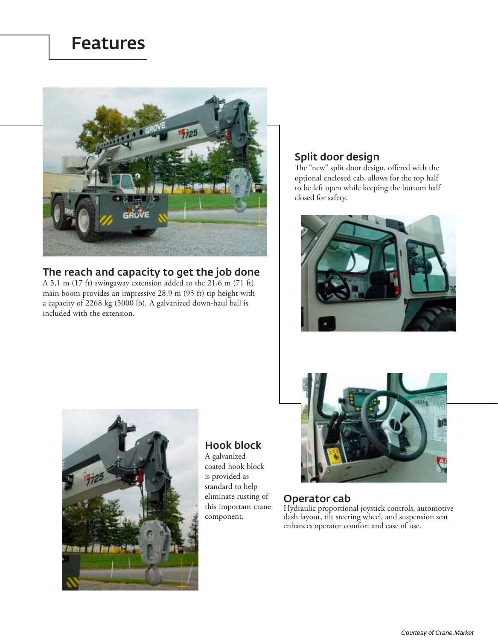## Features



## The reach and capacity to get the job done

A 5,1 m (17 ft) swingaway extension added to the 21,6 m (71 ft) main boom provides an impressive 28,9 m (95 ft) tip height with a capacity of 2268 kg (5000 lb). A galvanized down-haul ball is included with the extension.

## Split door design

The "new" split door design, offered with the optional enclosed cab, allows for the top half to be left open while keeping the bottom half closed for safety.





## Hook block

A galvanized coated hook block is provided as standard to help eliminate rusting of this important crane component.



## Operator cab

Hydraulic proportional joystick controls, automotive dash layout, tilt steering wheel, and suspension seat enhances operator comfort and ease of use.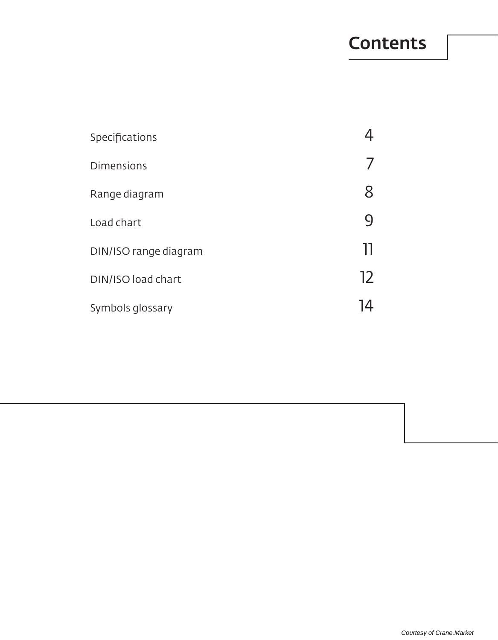## **Contents**

| Specifications        |    |
|-----------------------|----|
| <b>Dimensions</b>     |    |
| Range diagram         |    |
| Load chart            |    |
| DIN/ISO range diagram | Ш  |
| DIN/ISO load chart    | 12 |
| Symbols glossary      |    |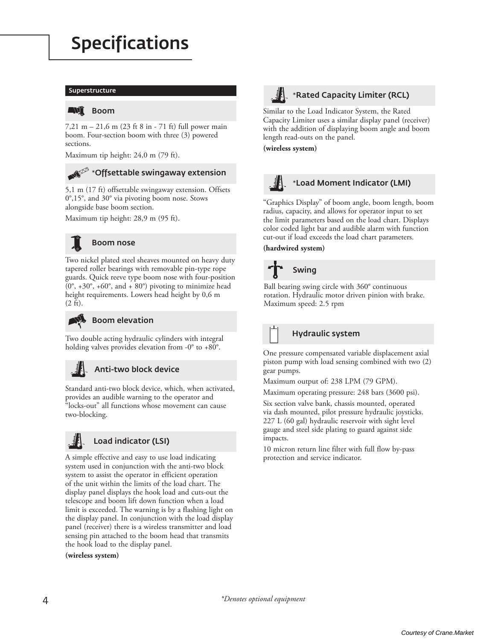# Specifications

#### Superstructure

### **ENI** Boom

7,21 m – 21,6 m (23 ft 8 in - 71 ft) full power main boom. Four-section boom with three (3) powered sections.

Maximum tip height: 24,0 m (79 ft).

## **\***Offsettable swingaway extension

5,1 m (17 ft) offsettable swingaway extension. Offsets 0°,15°, and 30° via pivoting boom nose. Stows alongside base boom section.

Maximum tip height: 28,9 m (95 ft).



### Boom nose

Two nickel plated steel sheaves mounted on heavy duty tapered roller bearings with removable pin-type rope guards. Quick reeve type boom nose with four-position  $(0^\circ, +30^\circ, +60^\circ,$  and  $+80^\circ)$  pivoting to minimize head height requirements. Lowers head height by 0,6 m (2 ft).

#### **All** Boom elevation

Two double acting hydraulic cylinders with integral holding valves provides elevation from -0° to +80°.

## Anti-two block device

Standard anti-two block device, which, when activated, provides an audible warning to the operator and "locks-out" all functions whose movement can cause two-blocking.



### Load indicator (LSI)

A simple effective and easy to use load indicating system used in conjunction with the anti-two block system to assist the operator in efficient operation of the unit within the limits of the load chart. The display panel displays the hook load and cuts-out the telescope and boom lift down function when a load limit is exceeded. The warning is by a flashing light on the display panel. In conjunction with the load display panel (receiver) there is a wireless transmitter and load sensing pin attached to the boom head that transmits the hook load to the display panel.

**(wireless system)**



### **\***Rated Capacity Limiter (RCL)

Similar to the Load Indicator System, the Rated Capacity Limiter uses a similar display panel (receiver) with the addition of displaying boom angle and boom length read-outs on the panel.

**(wireless system)**



### **\***Load Moment Indicator (LMI)

"Graphics Display" of boom angle, boom length, boom radius, capacity, and allows for operator input to set the limit parameters based on the load chart. Displays color coded light bar and audible alarm with function cut-out if load exceeds the load chart parameters.

**(hardwired system)**

# Swing

Ball bearing swing circle with 360° continuous rotation. Hydraulic motor driven pinion with brake. Maximum speed: 2.5 rpm

### Hydraulic system

One pressure compensated variable displacement axial piston pump with load sensing combined with two (2) gear pumps.

Maximum output of: 238 LPM (79 GPM).

Maximum operating pressure: 248 bars (3600 psi).

Six section valve bank, chassis mounted, operated via dash mounted, pilot pressure hydraulic joysticks. 227 L (60 gal) hydraulic reservoir with sight level gauge and steel side plating to guard against side impacts.

10 micron return line filter with full flow by-pass protection and service indicator.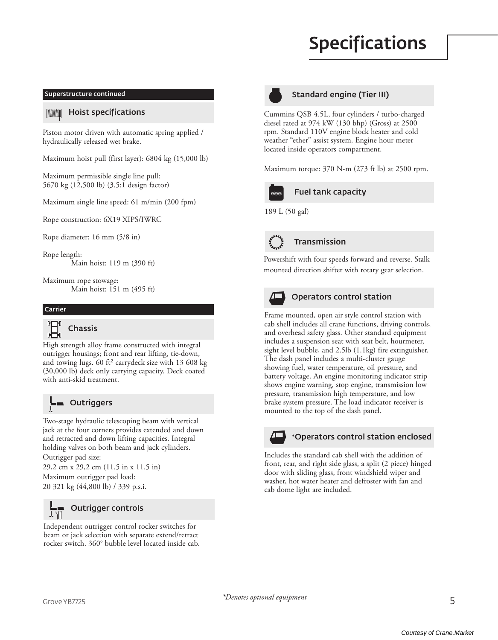# Specifications



## Standard engine (Tier III)

Cummins QSB 4.5L, four cylinders / turbo-charged diesel rated at 974 kW (130 bhp) (Gross) at 2500 rpm. Standard 110V engine block heater and cold weather "ether" assist system. Engine hour meter located inside operators compartment.

Maximum torque: 370 N-m (273 ft lb) at 2500 rpm.



## Fuel tank capacity

189 L (50 gal)



## Transmission

Powershift with four speeds forward and reverse. Stalk mounted direction shifter with rotary gear selection.



### Operators control station

Frame mounted, open air style control station with cab shell includes all crane functions, driving controls, and overhead safety glass. Other standard equipment includes a suspension seat with seat belt, hourmeter, sight level bubble, and 2.5lb (1.1kg) fire extinguisher. The dash panel includes a multi-cluster gauge showing fuel, water temperature, oil pressure, and battery voltage. An engine monitoring indicator strip shows engine warning, stop engine, transmission low pressure, transmission high temperature, and low brake system pressure. The load indicator receiver is mounted to the top of the dash panel.



### **\***Operators control station enclosed

Includes the standard cab shell with the addition of front, rear, and right side glass, a split (2 piece) hinged door with sliding glass, front windshield wiper and washer, hot water heater and defroster with fan and cab dome light are included.

#### Superstructure continued

#### **TAMANT** Hoist specifications

Piston motor driven with automatic spring applied / hydraulically released wet brake.

Maximum hoist pull (first layer): 6804 kg (15,000 lb)

Maximum permissible single line pull: 5670 kg (12,500 lb) (3.5:1 design factor)

Maximum single line speed: 61 m/min (200 fpm)

Rope construction: 6X19 XIPS/IWRC

Rope diameter: 16 mm (5/8 in)

Rope length: Main hoist: 119 m (390 ft)

Maximum rope stowage: Main hoist: 151 m (495 ft)

#### Carrier



High strength alloy frame constructed with integral outrigger housings; front and rear lifting, tie-down, and towing lugs. 60 ft² carrydeck size with 13 608 kg (30,000 lb) deck only carrying capacity. Deck coated with anti-skid treatment.



**Qutriggers** 

Two-stage hydraulic telescoping beam with vertical jack at the four corners provides extended and down and retracted and down lifting capacities. Integral holding valves on both beam and jack cylinders. Outrigger pad size:

29,2 cm x 29,2 cm (11.5 in x 11.5 in) Maximum outrigger pad load: 20 321 kg (44,800 lb) / 339 p.s.i.



### Outrigger controls

Independent outrigger control rocker switches for beam or jack selection with separate extend/retract rocker switch. 360° bubble level located inside cab.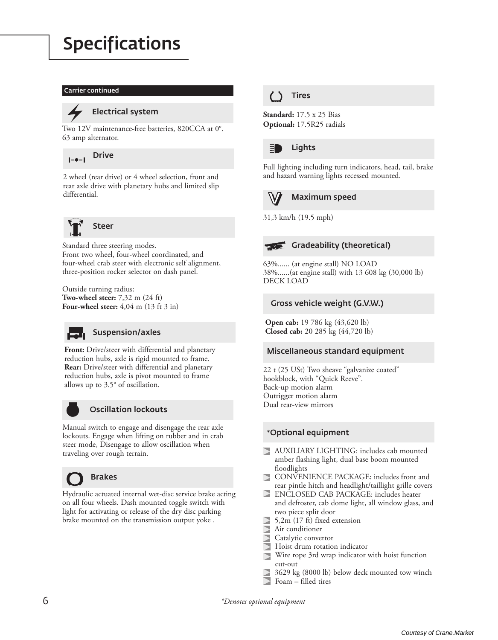# Specifications

#### Carrier continued



### Electrical system

Two 12V maintenance-free batteries, 820CCA at 0°. 63 amp alternator.



2 wheel (rear drive) or 4 wheel selection, front and rear axle drive with planetary hubs and limited slip differential.



Standard three steering modes. Front two wheel, four-wheel coordinated, and four-wheel crab steer with electronic self alignment, three-position rocker selector on dash panel.

Outside turning radius: **Two-wheel steer:** 7,32 m (24 ft) **Four-wheel steer:** 4,04 m (13 ft 3 in)



### Suspension/axles

**Front:** Drive/steer with differential and planetary reduction hubs, axle is rigid mounted to frame. **Rear:** Drive/steer with differential and planetary reduction hubs, axle is pivot mounted to frame allows up to 3.5° of oscillation.



### Oscillation lockouts

Manual switch to engage and disengage the rear axle lockouts. Engage when lifting on rubber and in crab steer mode, Disengage to allow oscillation when traveling over rough terrain.



## Brakes

Hydraulic actuated internal wet-disc service brake acting on all four wheels. Dash mounted toggle switch with light for activating or release of the dry disc parking brake mounted on the transmission output yoke .

## Tires

**Standard:** 17.5 x 25 Bias **Optional:** 17.5R25 radials



### Lights

Full lighting including turn indicators, head, tail, brake and hazard warning lights recessed mounted.



## Maximum speed

31,3 km/h (19.5 mph)



63%...... (at engine stall) NO LOAD 38%......(at engine stall) with 13 608 kg (30,000 lb) DECK LOAD

### Gross vehicle weight (G.V.W.)

**Open cab:** 19 786 kg (43,620 lb) **Closed cab:** 20 285 kg (44,720 lb)

### Miscellaneous standard equipment

22 t (25 USt) Two sheave "galvanize coated" hookblock, with "Quick Reeve". Back-up motion alarm Outrigger motion alarm Dual rear-view mirrors

## **\***Optional equipment

- AUXILIARY LIGHTING: includes cab mounted amber flashing light, dual base boom mounted floodlights
- $\triangleright$ CONVENIENCE PACKAGE: includes front and rear pintle hitch and headlight/taillight grille covers
- ENCLOSED CAB PACKAGE: includes heater and defroster, cab dome light, all window glass, and two piece split door
- 5,2m (17 ft) fixed extension
- Air conditioner
- Catalytic convertor
- Hoist drum rotation indicator
- Wire rope 3rd wrap indicator with hoist function cut-out
- 3629 kg (8000 lb) below deck mounted tow winch
- Foam filled tires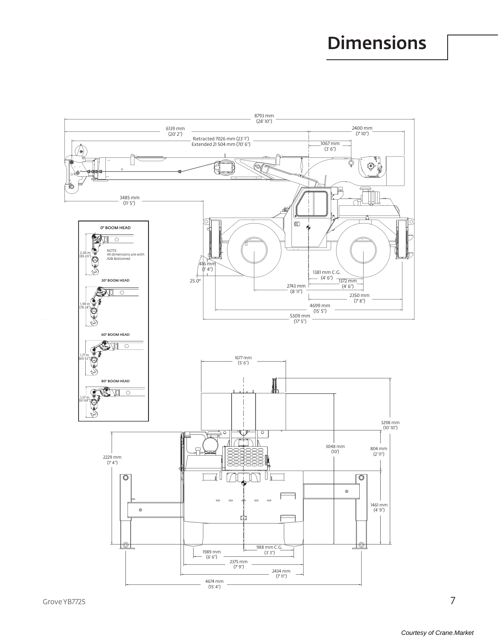# **Dimensions**



 $\overline{7}$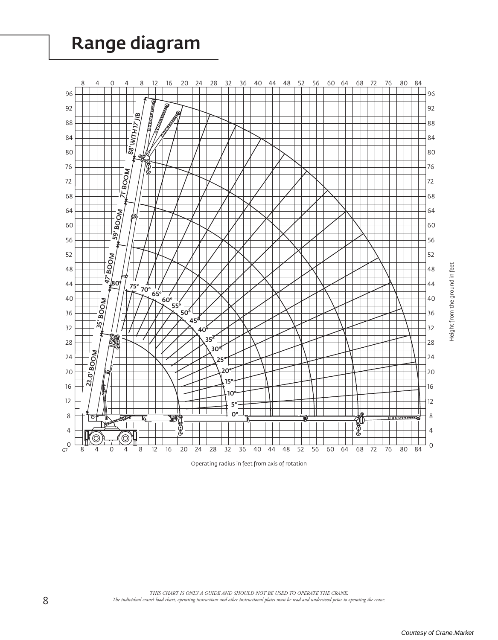# Range diagram



Operating radius in feet from axis of rotation

Height from the ground in feet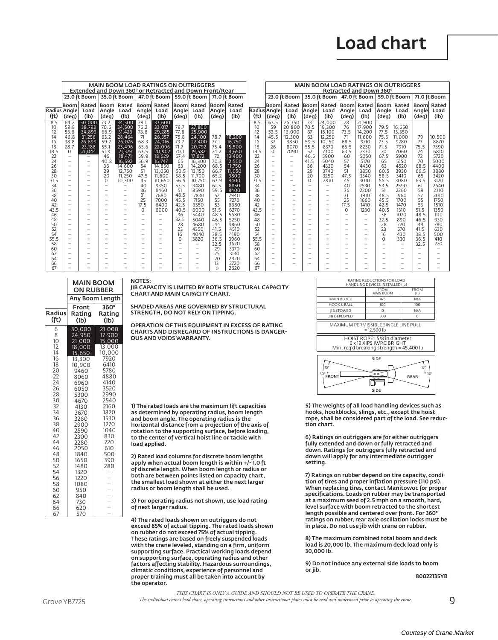|                   | <b>MAIN BOOM LOAD RATINGS ON OUTRIGGERS</b><br>Extended and Down 360° or Retracted and Down Front/Rear |                          |                                                      |                          |                                                      |                                                      |                                      |                                  |              |                   |                   |                          |                          |                          | <b>MAIN BOOM LOAD RATINGS ON OUTRIGGERS</b><br>Retracted and Down 360° |                          |                                                      |                                      |              |                                  |              |
|-------------------|--------------------------------------------------------------------------------------------------------|--------------------------|------------------------------------------------------|--------------------------|------------------------------------------------------|------------------------------------------------------|--------------------------------------|----------------------------------|--------------|-------------------|-------------------|--------------------------|--------------------------|--------------------------|------------------------------------------------------------------------|--------------------------|------------------------------------------------------|--------------------------------------|--------------|----------------------------------|--------------|
|                   |                                                                                                        | 23.0 ft Boom             |                                                      | 35.0 ft Boom             |                                                      | 47.0 ft Boom                                         |                                      | 59.0 ft Boom                     |              | 71.0 ft Boom      |                   |                          | 23.0 ft Boom             |                          | 35.0 ft Boom                                                           |                          | 47.0 ft Boom                                         |                                      | 59.0 ft Boom |                                  | 71.0 ft Boom |
|                   | Booml                                                                                                  | Rated                    |                                                      | Boom Rated               |                                                      | Boom  Rated                                          |                                      | <b>Boom Rated</b>                | Boom         | Rated             |                   | <b>Boom</b>              | Rated                    | Boom                     | Rated                                                                  |                          | Boom Rated                                           |                                      | Boom Rated   | Booml                            | Rated        |
| Radius Angle      |                                                                                                        | Load                     | Angle                                                | Load                     | Angle                                                | Load                                                 | Angle                                | Load                             | Angle        | Load              | Radius Angle      |                          | Load                     | Angle                    | Load                                                                   | Angle                    | Load                                                 | Angle                                | Load         | Angle                            | Load         |
| (f <sub>t</sub> ) | (deg)                                                                                                  | (Ib)                     | (deg)                                                | (Ib)                     | (deg)                                                | (Ib)                                                 | (deg)                                | (I <sub>b</sub> )                | (deg)        | (I <sub>b</sub> ) | (f <sub>t</sub> ) | (deg)                    | (I <sub>b</sub> )        | (deg)                    | (I <sub>b</sub> )                                                      | (deg)                    | (I <sub>b</sub> )                                    | (deg)                                | (Ib)         | (deg)                            | (Ib)         |
| 8.5               | 64.2                                                                                                   | 50,000                   | 73.2                                                 | 34,300                   | 78.1                                                 | 33,600                                               |                                      |                                  |              |                   | 8.5               | 63.5                     | 26.350                   | 73                       | 24.000                                                                 | 78                       | 21.900                                               |                                      |              |                                  |              |
| 10                | 59.8                                                                                                   | 38,793                   | 70.6                                                 | 34,500                   | 76.2                                                 | 33,017                                               | 79.7                                 | 27,800                           |              |                   | 10                | 59                       | 20,800                   | 70.5                     | 19.300                                                                 | 76                       | 17,900                                               | 79.5                                 | 16.650       |                                  |              |
| 12                | 53.6                                                                                                   | 34.893                   | 66.9                                                 | 31,426                   | 73.6                                                 | 29.285                                               | 77.8                                 | 25,900                           |              |                   | 12                | 52.5                     | 16.000                   | 67                       | 15.100                                                                 | 73.5                     | 14,200                                               | 77.5                                 | 13.350       |                                  |              |
| 14                | 46.8                                                                                                   | 31.256                   | 63.2                                                 | 28,464                   | 71                                                   | 26.357                                               | 75.8                                 | 24,100                           | 78.7         | 18,200            | 14                | 45.5                     | 12,300                   | 63                       | 12,250                                                                 | 71                       | 11.600                                               | 75.5                                 | 11.000       | 79                               | 10,500       |
| 16                | 38.8                                                                                                   | 26,699                   | 59.2                                                 | 26,076                   | 68.3                                                 | 24,016                                               | 73.7                                 | 22,400                           | 77.1         | 16,750            | 16                | 37                       | 9850                     | 59.5                     | 10,150                                                                 | 68.5                     | 9710                                                 | 73.5                                 | 9280         | 77                               | 8870         |
| 18                | 28.7                                                                                                   | 23.186                   | 55.1                                                 | 23,496                   | 65.6                                                 | 22,096                                               | 71.7                                 | 20.792                           | 75.4         | 15,500            | 18                | 26                       | 8070                     | 55.5                     | 8370                                                                   | 65.5                     | 8230                                                 | 71.5                                 | 7910         | 75.5                             | 7590         |
| 19.5              | $\Omega$                                                                                               | 21,044                   | 51.9                                                 | 21.379                   | 63.5                                                 | 20.902                                               | 70.1                                 | 19,582                           | 74.2         | 14.650            | 19.5              | $\Omega$                 | 7090                     | 52                       | 7300                                                                   | 63.5                     | 7330                                                 | 70                                   | 7060         | 74                               | 6810         |
| 22                |                                                                                                        |                          | 46                                                   | 18.471                   | 59.9                                                 | 18,629                                               | 67.4                                 | 17,872                           | 72           | 13.400            | 22                |                          |                          | 46.5                     | 5900                                                                   | 60                       | 6050                                                 | 67.5                                 | 5900         | 72                               | 5720         |
| 24                |                                                                                                        |                          | 40.8                                                 | 16,592                   | 56.9                                                 | 16,747                                               | 65                                   | 16.300                           | 70.3         | 12,500            | 24                | $\overline{\phantom{0}}$ | $\overline{\phantom{a}}$ | 41.5                     | 5040                                                                   | 57                       | 5170                                                 | 65                                   | 5150         | 70                               | 5000         |
| 26                |                                                                                                        | $\overline{\phantom{0}}$ | 36                                                   | 14.600                   | 54                                                   | 14.850                                               | 63                                   | 14.200                           | 68.5         | 11.750            | 26                | $\overline{\phantom{0}}$ | $\overline{\phantom{a}}$ | 36                       | 4330                                                                   | 54                       | 4450                                                 | 63                                   | 4520         | 68.5                             | 4400         |
| 28                | $-$                                                                                                    |                          | 29                                                   | 12,750                   | 51                                                   | 13.050                                               | 60.5                                 | 13.150                           | 66.7         | 11.050            | 28                |                          | $\overline{\phantom{a}}$ | 29                       | 3740                                                                   | 51                       | 3850                                                 | 60.5                                 | 3930         | 66.5                             | 3880         |
| 30                |                                                                                                        | $\qquad \qquad$          | 20                                                   | 11.250                   | 47.5                                                 | 11.600                                               | 58.5                                 | 11.700                           | 65.2         | 9800              | 30                |                          | $\overline{\phantom{m}}$ | 20                       | 3250                                                                   | 47.5                     | 3340                                                 | 58.5                                 | 3410         | 65                               | 3420         |
| 31.5              | $\overline{\phantom{0}}$                                                                               | $\overline{\phantom{0}}$ | $\Omega$                                             | 10.300                   | 45                                                   | 10.650                                               | 56.5                                 | 10.750                           | 63.9         | 9400              | 31.5              |                          | $\overline{\phantom{0}}$ | <sup>o</sup>             | 2910                                                                   | 45                       | 3010                                                 | 56.5                                 | 3080         | 63.5                             | 3120         |
| 34                |                                                                                                        | $\overline{\phantom{0}}$ | $\overline{\phantom{0}}$                             |                          | 40                                                   | 9350                                                 | 53.5                                 | 9480                             | 61.5         | 8850              | 34                |                          | $\overline{\phantom{0}}$ |                          | $\overline{\phantom{0}}$                                               | 40                       | 2530                                                 | 53.5                                 | 2590         | -61                              | 2640         |
| 36                |                                                                                                        |                          |                                                      |                          | 36                                                   | 8460                                                 | 51                                   | 8590                             | 59.6         | 8400              | 36                |                          |                          |                          | $\overline{\phantom{a}}$                                               | 36                       | 2200                                                 | 51                                   | 2260         | 59                               | 2310         |
| 38                |                                                                                                        |                          | $\overline{\phantom{0}}$                             | $\overline{\phantom{0}}$ | 31                                                   | 7680                                                 | 48.5                                 | 7830                             | 57           | 7940              | 38                |                          |                          |                          | $\overline{\phantom{0}}$                                               | 31                       | 1910                                                 | 48.5                                 | 1960         | 57                               | 2010         |
| 40                |                                                                                                        | $\overline{\phantom{0}}$ | $\overline{\phantom{0}}$                             |                          | 25                                                   | 7000                                                 | 45.5                                 | 7150                             | 55           | 7270              | 40                |                          |                          | $\overline{\phantom{0}}$ | $\overline{\phantom{0}}$                                               | 25                       | 1660                                                 | 45.5                                 | 1700         | 55                               | 1750         |
| 42                |                                                                                                        |                          |                                                      |                          | 17.5                                                 | 6400                                                 | 42.5                                 | 6550                             | 53           | 6680              | 42                | $\overline{\phantom{0}}$ |                          |                          | $\overline{\phantom{0}}$                                               | 17.5                     | 1410                                                 | 42.5                                 | 1470         | 53                               | 1510         |
| 43.5              |                                                                                                        |                          |                                                      | $\overline{\phantom{0}}$ | $\Omega$                                             | 6000                                                 | 40.5                                 | 6000                             | 51.5         | 6270              | 43.5              |                          | $\overline{\phantom{0}}$ |                          | $\overline{\phantom{0}}$                                               | $\Omega$                 | 1230                                                 | 40.5                                 | 1310         | 51.5                             | 1350         |
| 46                |                                                                                                        | $\overline{\phantom{0}}$ |                                                      |                          |                                                      | $\overline{\phantom{0}}$                             | 36                                   | 5440                             | 48.5         | 5680              | 46                |                          | $\overline{\phantom{0}}$ |                          | $\overline{\phantom{0}}$<br>$\overline{\phantom{0}}$                   | $\overline{\phantom{0}}$ | $\overline{\phantom{0}}$                             | 36                                   | 1070         | 48.5                             | 1110         |
| 48                |                                                                                                        | $\overline{\phantom{0}}$ |                                                      |                          | $\overline{\phantom{0}}$                             | $\overline{\phantom{0}}$                             | 32.5                                 | 5040                             | 46.5         | 5250              | 48                |                          |                          |                          |                                                                        |                          |                                                      | 32.5                                 | 890          | 46.5                             | 930          |
| 50                |                                                                                                        | $\overline{\phantom{0}}$ | $\overline{\phantom{0}}$                             | $\overline{\phantom{0}}$ | $\overline{\phantom{0}}$                             | $\overline{\phantom{0}}$<br>$\overline{\phantom{0}}$ | 28                                   | 4680                             | 44           | 4860              | 50                |                          |                          |                          | -<br>$\overline{\phantom{0}}$                                          |                          | $\overline{\phantom{0}}$                             | 28                                   | 720          | 44                               | 780          |
| 52                |                                                                                                        | $\overline{\phantom{0}}$ |                                                      |                          | $\overline{\phantom{0}}$<br>$\overline{\phantom{0}}$ |                                                      | 23                                   | 4350<br>4040                     | 41.5<br>38.5 | 4510              | 52<br>54          |                          |                          |                          |                                                                        |                          |                                                      | 23                                   | 570          | 41.5                             | 630          |
| 54                |                                                                                                        |                          |                                                      |                          |                                                      | $\overline{\phantom{0}}$                             | 16                                   |                                  |              | 4190              | 55.5              |                          |                          |                          |                                                                        |                          |                                                      | 16                                   | 430          | 38.5                             | 500          |
| 55.5<br>58        |                                                                                                        | $\overline{\phantom{0}}$ | $\overline{\phantom{0}}$<br>$\overline{\phantom{0}}$ | $\overline{\phantom{0}}$ | -<br>$\overline{\phantom{0}}$                        | $\overline{\phantom{0}}$                             | $\Omega$<br>$\overline{\phantom{m}}$ | 3820<br>$\overline{\phantom{0}}$ | 36.5<br>32.5 | 3960<br>3620      | 58                |                          | $\overline{\phantom{0}}$ | $\overline{\phantom{0}}$ | $\overline{\phantom{0}}$<br>$\overline{\phantom{0}}$                   | $\overline{\phantom{0}}$ | $\overline{\phantom{0}}$<br>$\overline{\phantom{0}}$ | $\Omega$<br>$\overline{\phantom{0}}$ | 330          | 36.5                             | 410<br>270   |
| 60                |                                                                                                        | $\overline{\phantom{0}}$ |                                                      |                          | $\overline{\phantom{0}}$                             | $\overline{\phantom{0}}$                             | $\overline{\phantom{a}}$             | $\qquad \qquad -$                | 29           | 3370              | 60                |                          |                          |                          |                                                                        |                          |                                                      |                                      |              | 32.5<br>$\overline{\phantom{0}}$ |              |
| 62                |                                                                                                        | $\overline{\phantom{0}}$ |                                                      |                          | $\overline{\phantom{0}}$                             |                                                      |                                      | $\overline{\phantom{0}}$         | 25           | 3130              | 62                | $\overline{\phantom{0}}$ |                          |                          |                                                                        | $\overline{\phantom{0}}$ |                                                      |                                      |              |                                  |              |
|                   |                                                                                                        |                          |                                                      |                          |                                                      |                                                      |                                      | $\overline{\phantom{0}}$         | 20           | 2920              | 64                |                          |                          |                          |                                                                        |                          |                                                      |                                      |              |                                  |              |
| 64<br>66          |                                                                                                        |                          |                                                      |                          |                                                      |                                                      |                                      |                                  | 13           | 2720              | 66                |                          |                          |                          |                                                                        |                          |                                                      |                                      |              |                                  |              |
| 67                |                                                                                                        |                          |                                                      |                          |                                                      |                                                      |                                      |                                  | $\cap$       | 2620              | 67                |                          |                          |                          |                                                                        |                          |                                                      |                                      |              |                                  |              |
|                   |                                                                                                        |                          |                                                      |                          |                                                      |                                                      |                                      |                                  |              |                   |                   |                          |                          |                          |                                                                        |                          |                                                      |                                      |              |                                  |              |

#### NOTES:

**MAIN BOOM** 

**ON RUBBER** 

Front

Rating

 $(Ib)$ 

30,000<br>24,950

21,000

18,000

 $15,650$ 

13.300

10,900

9460

8060

6960

6050

5300

4670

4130

3670

3260

2900

2590

2300

 $2280$ 

2050

1840

1650

1480

1320

 $1220$ 

1080

950

840

730

620

570

Radius

(ft)

6

8

 $10$ 

 $\frac{12}{14}$ <br>14

 $18$ 

20

 $\frac{22}{24}$ 

 $\overline{26}$ 

 $\overline{28}$ 

30

 $32$ <br> $34$ <br> $36$ 

38

40

 $42$ <br> $44$ 

 $46$ 

48

50

 $\frac{52}{54}$ 

 $\overline{56}$ 

 $\overline{58}$ 

60

62

64

66

**Any Boom Length** 

 $360^\circ$ 

Rating

 $(Ib)$ 

21,000

 $\frac{1}{17}$ ,900

15,000

 $\frac{13,000}{10,000}$ 

7920

6410

5780

4880  $4140$ 

3520

2990

2540

2160

1820

1530

1270

1040

830

 $720$ 

 $610$ 

500

390

280

 $\frac{1}{2}$ 

 $\qquad \qquad -$ 

 $\overline{a}$ 

 $\equiv$ 

 $\frac{1}{2}$ 

JIB CAPACITY IS LIMITED BY BOTH STRUCTURAL CAPACITY CHART AND MAIN CAPACITY CHART.

SHADED AREAS ARE GOVERNED BY STRUCTURAL STRENGTH DO NOT RELY ON TIPPING

OPERATION OF THIS EQUIPMENT IN EXCESS OF RATING<br>CHARTS AND DISREGARD OF INSTRUCTIONS IS DANGER-**OUS AND VOIDS WARRANTY.** 

1) The rated loads are the maximum lift capacities as determined by operating radius, boom length and boom angle. The operating radius is the horizontal distance from a projection of the axis of<br>rotation to the supporting surface, before loading, to the center of vertical hoist line or tackle with load applied.

2) Rated load columns for discrete boom lengths apply when actual boom length is within +/-1.0 ft of discrete length. When boom length or radius or both are between points listed on capacity chart, the smallest load shown at either the next larger radius or boom length shall be used.

3) For operating radius not shown, use load rating of next larger radius.

4) The rated loads shown on outriggers do not exceed 85% of actual tipping. The rated loads shown on rubber do not exceed 75% of actual tipping. These ratings are based on freely suspended loads with the crane leveled, standing on a firm, uniform supporting surface. Practical working loads depend on supporting surface, operating radius and other<br>factors affecting stability. Hazardous surroundings,<br>climatic conditions, experience of personnel and proper training must all be taken into account by<br>the operator.

| RATING REDUCTIONS FOR LOAD<br>HANDLING DEVICES INSTALLED (Ib)                                                                                                 |                                 |                                    |  |  |  |  |  |  |  |  |
|---------------------------------------------------------------------------------------------------------------------------------------------------------------|---------------------------------|------------------------------------|--|--|--|--|--|--|--|--|
|                                                                                                                                                               | <b>FROM</b><br><b>MAIN BOOM</b> | <b>FROM</b><br>JIB                 |  |  |  |  |  |  |  |  |
| <b>MAIN BLOCK</b>                                                                                                                                             | 475                             | N/A                                |  |  |  |  |  |  |  |  |
| <b>HOOK &amp; BALL</b>                                                                                                                                        | 100                             | 100                                |  |  |  |  |  |  |  |  |
| <b>IIB STOWED</b>                                                                                                                                             | 0                               | N/A                                |  |  |  |  |  |  |  |  |
| <b>IIB DEPLOYED</b>                                                                                                                                           | 500                             | $\Omega$                           |  |  |  |  |  |  |  |  |
| MAXIMUM PERMISSIBLE SINGLE LINE PULL<br>$= 12.500 lb$<br>HOIST ROPE: 5/8 in diameter<br>6 x 19 XIPS IWRC BRIGHT<br>Min. reg'd breaking strength = $45,400$ lb |                                 |                                    |  |  |  |  |  |  |  |  |
| 15°<br>30°<br><b>FRON</b>                                                                                                                                     | SIDE                            | 15°<br>$1.30^\circ$<br><b>REAR</b> |  |  |  |  |  |  |  |  |

5) The weights of all load handling devices such as hooks, hookblocks, slings, etc., except the hoist rope, shall be considered part of the load. See reduction chart.

 ${\sf SIDE}$ 

6) Ratings on outriggers are for either outriggers fully extended and down or fully retracted and down. Ratings for outriggers fully retracted and down will apply for any intermediate outrigger setting.

7) Ratings on rubber depend on tire capacity, condition of tires and proper inflation pressure (110 psi). When replacing tires, contact Manitowoc for proper specifications. Loads on rubber may be transported at a maximum seed of 2.5 mph on a smooth, hard, level surface with boom retracted to the shortest length possible and centered over front. For 360° ratings on rubber, rear axle oscillation locks must be in place. Do not use jib with crane on rubber.

8) The maximum combined total boom and deck load is 20,000 lb. The maximum deck load only is  $30,000$  lb.

9) Do not induce any external side loads to boom or iib.

80022135YB

THIS CHART IS ONLY A GUIDE AND SHOULD NOT BE USED TO OPERATE THE CRANE.

 $\overline{9}$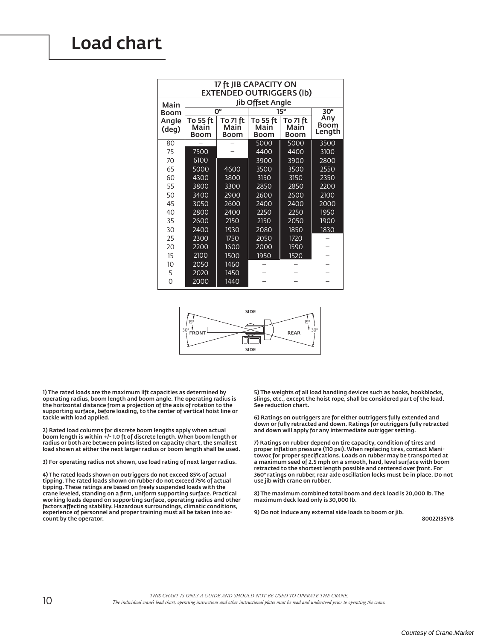# **Load chart**

| 17 ft JIB CAPACITY ON<br><b>EXTENDED OUTRIGGERS (Ib)</b> |                          |                                 |                                 |                                 |                              |  |  |  |  |  |  |  |
|----------------------------------------------------------|--------------------------|---------------------------------|---------------------------------|---------------------------------|------------------------------|--|--|--|--|--|--|--|
| Main                                                     | Jib Offset Angle         |                                 |                                 |                                 |                              |  |  |  |  |  |  |  |
| Boom                                                     |                          | $\overline{0}^{\circ}$          | 15°                             | $30^\circ$                      |                              |  |  |  |  |  |  |  |
| Angle<br>(deg)                                           | To 55 ft<br>Main<br>Boom | To 71 ft<br>Main<br><b>Boom</b> | To 55 ft<br>Main<br><b>Boom</b> | To 71 ft<br>Main<br><b>Boom</b> | Any<br><b>Boom</b><br>Length |  |  |  |  |  |  |  |
| 80                                                       |                          |                                 | 5000                            | 5000                            | 3500                         |  |  |  |  |  |  |  |
| 75                                                       | 7500                     |                                 | 4400                            | 4400                            | 3100                         |  |  |  |  |  |  |  |
| 70                                                       | 6100                     |                                 | 3900                            | 3900                            | 2800                         |  |  |  |  |  |  |  |
| 65                                                       | 5000                     | 4600                            | 3500                            | 3500                            | 2550                         |  |  |  |  |  |  |  |
| 60                                                       | 4300                     | 3800                            | 3150                            | 3150                            | 2350                         |  |  |  |  |  |  |  |
| 55                                                       | 3800                     | 3300                            | 2850                            | 2850                            | 2200                         |  |  |  |  |  |  |  |
| 50                                                       | 3400                     | 2900                            | 2600                            | 2600                            | 2100                         |  |  |  |  |  |  |  |
| 45                                                       | 3050                     | 2600                            | 2400                            | 2400                            | 2000                         |  |  |  |  |  |  |  |
| 40                                                       | 2800                     | 2400                            | 2250                            | 2250                            | 1950                         |  |  |  |  |  |  |  |
| 35                                                       | 2600                     | 2150                            | 2150                            | 2050                            | 1900                         |  |  |  |  |  |  |  |
| 30                                                       | 2400                     | 1930                            | 2080                            | 1850                            | 1830                         |  |  |  |  |  |  |  |
| 25                                                       | 2300                     | 1750                            | 2050                            | 1720                            |                              |  |  |  |  |  |  |  |
| 20                                                       | 2200                     | 1600                            | 2000                            | 1590                            |                              |  |  |  |  |  |  |  |
| 15                                                       | 2100                     | 1500                            | 1950                            | 1520                            |                              |  |  |  |  |  |  |  |
| 10                                                       | 2050                     | 1460                            |                                 |                                 |                              |  |  |  |  |  |  |  |
| 5                                                        | 2020                     | 1450                            |                                 |                                 |                              |  |  |  |  |  |  |  |
| $\Omega$                                                 | 2000                     | 1440                            |                                 |                                 |                              |  |  |  |  |  |  |  |



1) The rated loads are the maximum lift capacities as determined by operating radius, boom length and boom angle. The operating radius is the horizontal distance from a projection of the axis of rotation to the supporting surface, before loading, to the center of vertical hoist line or tackle with load applied.

2) Rated load columns for discrete boom lengths apply when actual boom length is within +/- 1.0 ft of discrete length. When boom length or radius or both are between points listed on capacity chart, the smallest load shown at either the next larger radius or boom length shall be used.

3) For operating radius not shown, use load rating of next larger radius.

4) The rated loads shown on outriggers do not exceed 85% of actual tipping. The rated loads shown on rubber do not exceed 75% of actual tipping. These ratings are based on freely suspended loads with the<br>crane leveled, standing on a firm, uniform supporting surface. Practical working loads depend on supporting surface, operating radius and other factors affecting stability. Hazardous surroundings, climatic conditions, experience of personnel and proper training must all be taken into account by the operator.

5) The weights of all load handling devices such as hooks, hookblocks, slings, etc., except the hoist rope, shall be considered part of the load. See reduction chart.

6) Ratings on outriggers are for either outriggers fully extended and down or fully retracted and down. Ratings for outriggers fully retracted and down will apply for any intermediate outrigger setting.

7) Ratings on rubber depend on tire capacity, condition of tires and proper inflation pressure (110 psi). When replacing tires, contact Manitowoc for proper specifications. Loads on rubber may be transported at a maximum seed of 2.5 mph on a smooth, hard, level surface with boom retracted to the shortest length possible and centered over front. For 360° ratings on rubber, rear axle oscillation locks must be in place. Do not use jib with crane on rubber.

8) The maximum combined total boom and deck load is 20,000 lb. The maximum deck load only is 30,000 lb.

9) Do not induce any external side loads to boom or jib.

80022135YB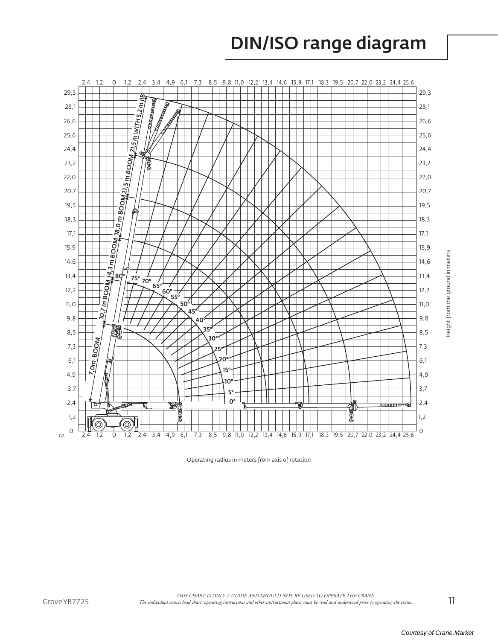# **DIN/ISO range diagram**



Operating radius in meters from axis of rotation

 $11$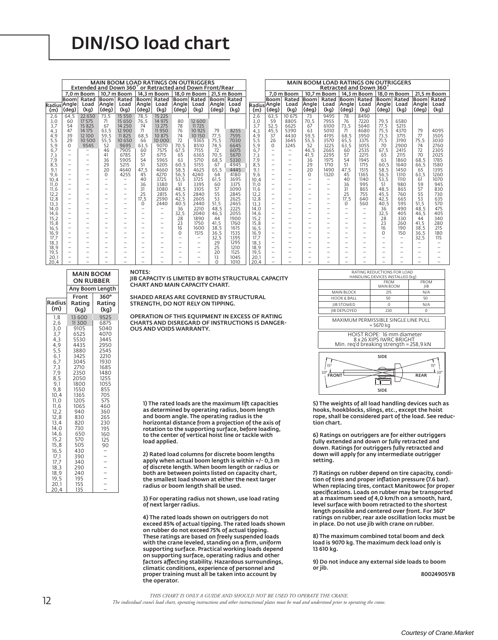## **DIN/ISO load chart**

|              |                          |                          |                          | <b>MAIN BOOM LOAD RATINGS ON OUTRIGGERS</b>             |                                      |                          |                          |                          |            |              |                  |                                                      |                          |                                               | <b>MAIN BOOM LOAD RATINGS ON OUTRIGGERS</b> |                                      |                          |                          |                          |                          |             |
|--------------|--------------------------|--------------------------|--------------------------|---------------------------------------------------------|--------------------------------------|--------------------------|--------------------------|--------------------------|------------|--------------|------------------|------------------------------------------------------|--------------------------|-----------------------------------------------|---------------------------------------------|--------------------------------------|--------------------------|--------------------------|--------------------------|--------------------------|-------------|
|              |                          |                          |                          | Extended and Down 360° or Retracted and Down Front/Rear |                                      |                          |                          |                          |            |              |                  |                                                      |                          |                                               |                                             |                                      | Retracted and Down 360   |                          |                          |                          |             |
|              |                          | 7.0 m Boom               |                          | 10.7 m Boom                                             |                                      | 14.3 m Boom              |                          | 18,0 m Boom              |            | 21.5 m Boom  |                  |                                                      | 7.0 m Boom               |                                               | 10.7 m Boom                                 |                                      | 14.3 m Boom              |                          | 18.0 m Boom              |                          | 21.5 m Boom |
|              | Boom                     | Rated                    |                          | Boom Rated                                              |                                      | Boom Rated               |                          | Boom Rated               |            | Boom Rated   |                  | Booml                                                | Rated                    | Booml                                         | Rated                                       |                                      | Boom Rated               | Boom Rated               |                          |                          | Boom Rated  |
|              | Radius Angle             | Load                     | Angle                    | Load                                                    | Angle                                | Load                     | Angle                    | Load                     | Angle      | Load         | Radius Angle     |                                                      | Load                     | Angle                                         | Load                                        | Angle                                | Load                     | Angle                    | Load                     | Angle                    | Load        |
| (m)          | (deg)                    | (kg)                     | (deg)                    | (kg)                                                    | (deg)                                | (kq)                     | (deg)                    | (kg)                     | (deg)      | (kq)         | (m)              | (deq)                                                | (kg)                     | (deg)                                         | (kg)                                        | (deg)                                | (kg)                     | (deg)                    | (kg)                     | (deg)                    | (kq)        |
| 2,6          | 64.5                     | 22 650                   | 73.5                     | 15 5 5 0                                                | 78.5                                 | 15 2 2 5                 |                          |                          |            |              | 2,6              | 63.5                                                 | 10 675                   | 73                                            | 9495                                        | 78                                   | 8490                     |                          |                          |                          |             |
| 3,0          | 60                       | 17 575                   | 71                       | 15 650                                                  | 76.5                                 | 14 975                   | 80                       | 12 600                   |            |              | 3.0              | 59                                                   | 8805                     | 70.5                                          | 7955                                        | 76                                   | 7220                     | 79.5                     | 6580                     |                          |             |
| 3,7          | 54                       | 15 825                   | 67                       | 14 2 5 0                                                | 74                                   | 13 27 5                  | 78                       | 11725                    |            |              | 3,7              | 52.5                                                 | 6625                     | 67                                            | 6100                                        | 73.5                                 | 5640                     | 77.5                     | 5215                     |                          |             |
| 4.3          | 47                       | 14 175                   | 63.5                     | 12 9 0 0                                                | 71                                   | 11950                    | 76                       | 10 9 25                  | 79         | 8255         | 4,3              | 45.5                                                 | 5390                     | 63                                            | 5010                                        | 71                                   | 4680                     | 75.5                     | 4370                     | 79                       | 4095        |
| 4.9          | 39                       | 12100                    | 59.5                     | 11825                                                   | 68.5                                 | 10 875                   | 74                       | 10150                    | 77,5       | 7595         | 4,9              | 37                                                   | 4430                     | 59.5                                          | 4195                                        | 68.5                                 | 3950                     | 73.5                     | 3715                     | 77                       | 3505        |
| 5.5          | 29                       | 10 500                   | 55.5                     | 10 650                                                  | 66                                   | 10 000                   | 72                       | 9365                     | 75,5       | 7030         | 5.5              | 26                                                   | 3645                     | 55.5                                          | 3570                                        | 65.5                                 | 3375                     | 71.5                     | 3190                     | 75.5                     | 3030        |
| 5.9          | $\Omega$                 | 9545                     | 52                       | 9695                                                    | 63.5                                 | 9070                     | 70.5                     | 8510                     | 74.5       | 6645         | 5.9              | $\Omega$                                             | 3245                     | 52                                            | 3225                                        | 63.5                                 | 3055                     | 70                       | 2900                     | 74                       | 2760        |
| 6.7          |                          |                          | 46                       | 7905                                                    | 60                                   | 7575                     | 67.5                     | 7155                     | 72         | 6075         | 6.7              | $\overline{\phantom{0}}$                             | $\overline{\phantom{0}}$ | 46.5                                          | 2665                                        | 60                                   | 2535                     | 67.5                     | 2415                     | 72                       | 2305        |
| 7,3          |                          |                          | 41                       | 6785                                                    | 57                                   | 6715                     | 65                       | 6365                     | 70.5       | 5670         | 7 <sub>1</sub> 3 | $\overline{\phantom{0}}$                             | $\overline{\phantom{0}}$ | 41,5                                          | 2295                                        | 57                                   | 2215                     | 65                       | 2115                     | 70                       | 2025        |
| 7,9          |                          |                          | 36                       | 5905                                                    | 54                                   | 5965                     | 63                       | 5710                     | 68.5       | 5330         | 7.9              | $\overline{\phantom{0}}$                             | $\overline{\phantom{a}}$ | 36                                            | 1975                                        | 54                                   | 1945                     | 63                       | 1860                     | 68.5                     | 1785        |
| 8,5          |                          |                          | 29                       | 5215                                                    | 51                                   | 5205                     | 60.5                     | 5155                     | 67         | 4945         | 8.5              | $\overline{\phantom{0}}$                             | $\overline{\phantom{a}}$ | 29                                            | 1710                                        | 51                                   | 1715                     | 60.5                     | 1640                     | 66.5                     | 1580        |
| 9.1          | $\overline{\phantom{0}}$ | $\overline{\phantom{0}}$ | 20                       | 4640                                                    | 47.5                                 | 4660                     | 58.5                     | 4625                     | 65.5       | 4445         | 9.1              | $\overline{\phantom{0}}$                             | $\overline{\phantom{0}}$ | 20                                            | 1490                                        | 47.5                                 | 1515                     | 58.5                     | 1450                     | 65                       | 1395        |
| 9,6          | $\overline{\phantom{0}}$ | $\overline{\phantom{0}}$ | $\Omega$                 | 4255                                                    | 45                                   | 4270                     | 56.5                     | 4240                     | 64         | 4180         | 9.6              | $\overline{\phantom{0}}$                             |                          | $\Omega$                                      | 1320                                        | 45                                   | 1365                     | 56,5                     | 1310                     | 63.5                     | 1260        |
| 10.4         |                          |                          | $\overline{\phantom{0}}$ |                                                         | 40                                   | 3725                     | 53.5                     | 3725                     | 61,5       | 3695         | 10.4             | $\overline{\phantom{0}}$                             |                          |                                               | $\overline{\phantom{0}}$                    | 40                                   | 1140                     | 53.5                     | 1110                     | 61                       | 1070        |
| 11.0         |                          | $\overline{\phantom{0}}$ | $\overline{\phantom{0}}$ |                                                         | 36                                   | 3380                     | 51                       | 3395                     | 60         | 3375         | 11.0             | $\overline{\phantom{0}}$                             |                          |                                               | $\overline{\phantom{0}}$                    | 36                                   | 995                      | 51                       | 980                      | 59                       | 945         |
| 11.6         | $\overline{\phantom{0}}$ | $\overline{\phantom{0}}$ | $\overline{\phantom{0}}$ |                                                         | 31                                   | 3080                     | 48.5                     | 3105                     | 57         | 3090         | 11.6             | $\overline{\phantom{0}}$                             | $\overline{\phantom{0}}$ |                                               | $-$                                         | 31                                   | 865                      | 48.5                     | 865                      | 57                       | 830         |
| 12.2         |                          | $\overline{\phantom{0}}$ | $\overline{\phantom{0}}$ |                                                         | 25                                   | 2815                     | 45.5                     | 2840                     | 55         | 2845         | 12.2             | $\overline{\phantom{0}}$                             |                          | $\overline{\phantom{0}}$                      | $-$                                         | 25                                   | 755                      | 45.5                     | 760                      | 55                       | 730         |
| 12,8         |                          | $\overline{\phantom{0}}$ | -                        |                                                         | 17.5                                 | 2590                     | 42.5                     | 2605                     | 53         | 2625         | 12,8             | $\overline{\phantom{0}}$                             |                          |                                               | $-$                                         | 17.5                                 | 640                      | 42.5                     | 665                      | 53                       | 635         |
| 13,3         |                          | $\overline{\phantom{0}}$ |                          | $\overline{\phantom{0}}$                                | $\Omega$<br>$\overline{\phantom{0}}$ | 2440                     | 40.5<br>36               | 2440                     | 51,5       | 2465         | 13.3             | $\overline{\phantom{0}}$<br>$\overline{\phantom{0}}$ |                          |                                               | $\overline{\phantom{0}}$                    | $\Omega$<br>$\overline{\phantom{a}}$ | 560                      | 40.5<br>36               | 595                      | 51,5                     | 570         |
| 14.0         |                          | $\overline{\phantom{0}}$ | $\overline{\phantom{0}}$ | $\overline{\phantom{0}}$                                |                                      |                          |                          | 2210                     | 48.5       | 2225<br>2055 | 14.0             |                                                      |                          |                                               | -                                           |                                      |                          |                          | 490                      | 48.5                     | 475         |
| 14,6<br>15,2 |                          |                          | -<br>-                   |                                                         | $\qquad \qquad -$                    | $\overline{\phantom{0}}$ | 32,5<br>28               | 2040<br>1890             | 46.5<br>44 | 1900         | 14.6<br>15.2     | $\qquad \qquad -$<br>$\overline{\phantom{0}}$        | $\overline{\phantom{m}}$ | $\qquad \qquad -$<br>$\overline{\phantom{0}}$ | -<br>$\overline{\phantom{0}}$               | $\overline{\phantom{a}}$             |                          | 32.5<br>28               | 405<br>330               | 46.5<br>44               | 405<br>340  |
| 15,8         | $\overline{\phantom{0}}$ | $\overline{\phantom{0}}$ | $\overline{\phantom{0}}$ | $\overline{\phantom{0}}$                                |                                      |                          | 23                       | 1750                     | 41,5       | 1760         | 15.8             | $\overline{\phantom{0}}$                             | $\overline{\phantom{0}}$ | $\overline{\phantom{0}}$                      | -                                           | $\overline{\phantom{a}}$             |                          | 23                       | 260                      | 41,5                     | <b>280</b>  |
| 16,5         |                          |                          | $\overline{\phantom{0}}$ |                                                         | $\overline{\phantom{0}}$             | $\overline{\phantom{0}}$ | 16                       | 1600                     | 38.5       | 1615         | 16.5             | $\overline{\phantom{0}}$                             |                          |                                               | $\overline{\phantom{0}}$                    |                                      | $\overline{\phantom{0}}$ | 16                       | 190                      | 38.5                     | 215         |
| 16, 9        |                          |                          | $\overline{\phantom{0}}$ |                                                         | $\overline{\phantom{0}}$             | $\overline{\phantom{0}}$ | $\Omega$                 | 1515                     | 36.5       | 1535         | 16.9             | $\overline{\phantom{0}}$                             |                          |                                               | -                                           |                                      |                          | $\Omega$                 | 150                      | 36.5                     | 180         |
| 17.7         |                          |                          |                          |                                                         |                                      |                          | $\overline{\phantom{0}}$ | $\overline{\phantom{0}}$ | 32,5       | 1395         | 17.7             | $\overline{\phantom{0}}$                             |                          |                                               |                                             |                                      |                          | $\overline{\phantom{0}}$ | $\overline{\phantom{0}}$ | 32.5                     | 115         |
| 18.3         | $\overline{\phantom{0}}$ | $\overline{\phantom{0}}$ | $\overline{\phantom{0}}$ |                                                         |                                      | $\overline{\phantom{0}}$ | $\overline{\phantom{0}}$ | $\overline{\phantom{0}}$ | 29         | 1295         | 18.3             | $\overline{\phantom{0}}$                             | $\overline{\phantom{0}}$ |                                               |                                             |                                      |                          | $\overline{\phantom{0}}$ | $\overline{\phantom{0}}$ |                          |             |
| 18,9         | $\overline{\phantom{0}}$ | $\overline{\phantom{0}}$ |                          |                                                         |                                      | $\overline{\phantom{0}}$ | $\overline{\phantom{0}}$ | $\overline{\phantom{0}}$ | 25         | 1210         | 18.9             | $\overline{\phantom{0}}$                             | $\overline{\phantom{0}}$ | $\overline{\phantom{0}}$                      | $\overline{\phantom{0}}$                    |                                      |                          |                          | $\overline{\phantom{0}}$ |                          |             |
| 19,5         |                          |                          |                          |                                                         | $\overline{\phantom{0}}$             | $\overline{\phantom{0}}$ | $\overline{\phantom{0}}$ | $\overline{\phantom{0}}$ | 20         | 1125         | 19,5             | $\overline{\phantom{0}}$                             |                          |                                               | $\overline{\phantom{0}}$                    |                                      |                          |                          | $\overline{\phantom{0}}$ | $\overline{\phantom{0}}$ |             |
| 20,1         |                          |                          |                          |                                                         |                                      |                          |                          | $\overline{\phantom{0}}$ | 13         | 1045         | 20,1             | $\overline{\phantom{0}}$                             |                          |                                               |                                             |                                      |                          | $\overline{\phantom{0}}$ |                          |                          |             |
| 20.4         |                          |                          |                          |                                                         |                                      |                          |                          |                          | $\cap$     | 1010         | 20.4             |                                                      |                          |                                               |                                             |                                      |                          |                          |                          |                          |             |

|                                                                                                                                                                                                                                                                                      | <b>MAIN BOOM</b><br><b>ON RUBBER</b>                                                                                                                                                                                                             |                                                                                                                                                                                                                                                                   |  |  |  |  |  |
|--------------------------------------------------------------------------------------------------------------------------------------------------------------------------------------------------------------------------------------------------------------------------------------|--------------------------------------------------------------------------------------------------------------------------------------------------------------------------------------------------------------------------------------------------|-------------------------------------------------------------------------------------------------------------------------------------------------------------------------------------------------------------------------------------------------------------------|--|--|--|--|--|
|                                                                                                                                                                                                                                                                                      | Any Boom Length                                                                                                                                                                                                                                  |                                                                                                                                                                                                                                                                   |  |  |  |  |  |
| <b>Radius</b><br>(m)                                                                                                                                                                                                                                                                 | Front<br>Rating<br>(kg)                                                                                                                                                                                                                          | 360°<br>Rating<br>(kg)                                                                                                                                                                                                                                            |  |  |  |  |  |
| 1,8<br>2,6<br>$\frac{3}{3}$ , 0<br>$\frac{3}{4}$ , 3<br>$\frac{4}{9}$<br>5,5<br>6,1<br>6,7<br>7,3<br>$7,9$<br>$8,5$<br>$9,1$<br>9,8<br>10,4<br>11,0<br>11,6<br>12,2<br>12,8<br>13,4<br>14,0<br>14.6<br>15,2<br>15,8<br>16, 5<br>17.1<br>17,7<br>18,3<br>18,9<br>19,5<br>20,1<br>20,4 | 13 600<br>11300<br>9105<br>6525<br>5530<br>4435<br>3880<br>3425<br>3045<br>2710<br>2350<br>2050<br>1800<br>1550<br>1365<br>1205<br>1065<br>940<br>830<br>820<br>730<br>650<br>570<br>505<br>430<br>390<br>340<br>290<br>240<br>195<br>155<br>135 | 9525<br>6875<br>5040<br>4070<br>3445<br>2950<br>2545<br>2210<br>1930<br>1685<br>1480<br>1255<br>1055<br>855<br>705<br>575<br>460<br>360<br>265<br>230<br>195<br>160<br>125<br>90<br>$\overline{\phantom{0}}$<br>$\overline{a}$<br>$\frac{1}{2}$<br>$\overline{a}$ |  |  |  |  |  |

**NOTES:** JIB CAPACITY IS LIMITED BY BOTH STRUCTURAL CAPACITY CHART AND MAIN CAPACITY CHART.

SHADED AREAS ARE GOVERNED BY STRUCTURAL STRENGTH, DO NOT RELY ON TIPPING.

OPERATION OF THIS EQUIPMENT IN EXCESS OF RATING CHARTS AND DISREGARD OF INSTRUCTIONS IS DANGER-**OUS AND VOIDS WARRANTY.** 

1) The rated loads are the maximum lift capacities as determined by operating radius, boom length and boom angle. The operating radius is the horizontal distance from a projection of the axis of rotation to the supporting surface, before loading, to the center of vertical hoist line or tackle with load applied.

2) Rated load columns for discrete boom lengths apply when actual boom length is within +/-0,3 m of discrete length. When boom length or radius or both are between points listed on capacity chart, the smallest load shown at either the next larger radius or boom length shall be used.

3) For operating radius not shown, use load rating of next larger radius.

4) The rated loads shown on outriggers do not exceed 85% of actual tipping. The rated loads shown on rubber do not exceed 75% of actual tipping. These ratings are based on freely suspended loads<br>with the crane leveled, standing on a firm, uniform<br>supporting surface. Practical working loads depend on supporting surface, operating radius and other<br>factors affecting stability. Hazardous surroundings, climatic conditions, experience of personnel and proper training must all be taken into account by<br>the operator.

| RATING REDUCTIONS FOR LOAD<br>HANDLING DEVICES INSTALLED (kg)                                    |                          |                                    |  |  |  |  |  |  |  |  |
|--------------------------------------------------------------------------------------------------|--------------------------|------------------------------------|--|--|--|--|--|--|--|--|
|                                                                                                  | <b>FROM</b><br>MAIN BOOM | <b>FROM</b><br>JIB                 |  |  |  |  |  |  |  |  |
| <b>MAIN BLOCK</b>                                                                                | 215                      | N/A                                |  |  |  |  |  |  |  |  |
| <b>HOOK &amp; BALL</b>                                                                           | 50                       | 50                                 |  |  |  |  |  |  |  |  |
| <b>JIB STOWED</b>                                                                                | $\Omega$                 | N/A                                |  |  |  |  |  |  |  |  |
| <b>IIB DEPLOYED</b>                                                                              | 230                      | 0                                  |  |  |  |  |  |  |  |  |
| MAXIMUM PERMISSIBLE SINGLE LINE PULL<br>$= 5670 kg$                                              |                          |                                    |  |  |  |  |  |  |  |  |
| HOIST ROPE: 16 mm diameter<br>8 x 26 XIPS IWRC BRIGHT<br>Min. reg'd breaking strength = 258,9 kN |                          |                                    |  |  |  |  |  |  |  |  |
| 159<br>30 <sup>o</sup><br><b>FRON</b>                                                            | <b>SIDE</b>              | 15°<br>$1.30^\circ$<br><b>REAR</b> |  |  |  |  |  |  |  |  |
|                                                                                                  | <b>SIDE</b>              |                                    |  |  |  |  |  |  |  |  |

5) The weights of all load handling devices such as hooks, hookblocks, slings, etc., except the hoist rope, shall be considered part of the load. See reduction chart.

6) Ratings on outriggers are for either outriggers fully extended and down or fully retracted and down. Ratings for outriggers fully retracted and down will apply for any intermediate outrigger setting.

7) Ratings on rubber depend on tire capacity, condition of tires and proper inflation pressure (7.6 bar). When replacing tires, contact Manitowoc for proper specifications. Loads on rubber may be transported at a maximum seed of 4,0 km/h on a smooth, hard, level surface with boom retracted to the shortest length possible and centered over front. For 360° ratings on rubber, rear axle oscillation locks must be in place. Do not use jib with crane on rubber.

8) The maximum combined total boom and deck load is 9070 kg. The maximum deck load only is 13 610 kg.

9) Do not induce any external side loads to boom or jib.

80024905YB

THIS CHART IS ONLY A GUIDE AND SHOULD NOT BE USED TO OPERATE THE CRANE.

The individual cranés load chart, operating instructions and other instructional plates must be read and understood prior to operating the crane.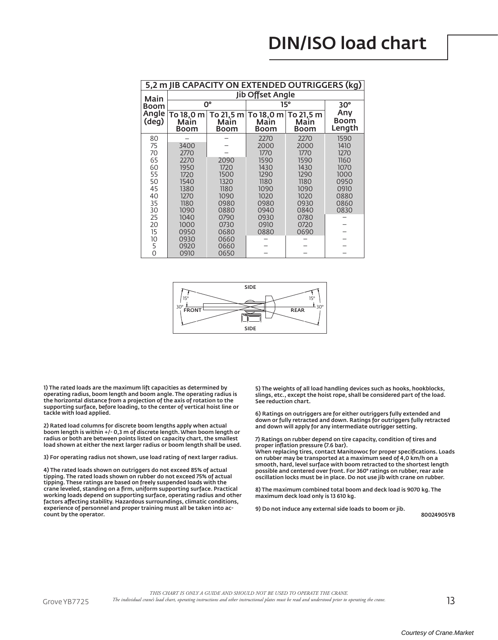| 5,2 m JIB CAPACITY ON EXTENDED OUTRIGGERS (kg) |                           |                                  |                           |                                  |                       |  |  |  |  |  |  |  |
|------------------------------------------------|---------------------------|----------------------------------|---------------------------|----------------------------------|-----------------------|--|--|--|--|--|--|--|
| Main                                           |                           |                                  | Jib Offset Angle          |                                  |                       |  |  |  |  |  |  |  |
| <b>Boom</b>                                    |                           | 0°                               |                           | $15^{\circ}$                     | $30^\circ$            |  |  |  |  |  |  |  |
| Angle<br>deg)                                  | To 18,0 m<br>Main<br>Boom | To 21,5 m<br>Main<br><b>Boom</b> | To 18,0 m<br>Main<br>Boom | To 21,5 m<br>Main<br><b>Boom</b> | Any<br>Boom<br>Length |  |  |  |  |  |  |  |
| 80                                             |                           |                                  | 2270                      | 2270                             | 1590                  |  |  |  |  |  |  |  |
| 75                                             | 3400                      |                                  | 2000                      | 2000                             | 1410                  |  |  |  |  |  |  |  |
| 70                                             | 2770                      |                                  | 1770                      | 1770                             | 1270                  |  |  |  |  |  |  |  |
| 65                                             | 2270                      | 2090                             | 1590                      | 1590                             | 1160                  |  |  |  |  |  |  |  |
| 60                                             | 1950                      | 1720                             | 1430                      | 1430                             | 1070                  |  |  |  |  |  |  |  |
| 55                                             | 1720                      | 1500                             | 1290                      | 1290                             | 1000                  |  |  |  |  |  |  |  |
| 50                                             | 1540                      | 1320                             | 1180                      | 1180                             | 0950                  |  |  |  |  |  |  |  |
| 45                                             | 1380                      | 1180                             | 1090                      | 1090                             | 0910                  |  |  |  |  |  |  |  |
| 40                                             | 1270                      | 1090                             | 1020                      | 1020                             | 0880                  |  |  |  |  |  |  |  |
| 35<br>30                                       | 1180<br>1090              | 0980<br>0880                     | 0980<br>0940              | 0930<br>0840                     | 0860<br>0830          |  |  |  |  |  |  |  |
| 25                                             | 1040                      | 0790                             | 0930                      | 0780                             |                       |  |  |  |  |  |  |  |
| 20                                             | 1000                      | 0730                             | 0910                      | 0720                             |                       |  |  |  |  |  |  |  |
| 15                                             | 0950                      | 0680                             | 0880                      | 0690                             |                       |  |  |  |  |  |  |  |
| 10                                             | 0930                      | 0660                             |                           |                                  |                       |  |  |  |  |  |  |  |
| 5                                              | 0920                      | 0660                             |                           |                                  |                       |  |  |  |  |  |  |  |
| $\overline{0}$                                 | 0910                      | 0650                             |                           |                                  |                       |  |  |  |  |  |  |  |



1) The rated loads are the maximum lift capacities as determined by operating radius, boom length and boom angle. The operating radius is the horizontal distance from a projection of the axis of rotation to the supporting surface, before loading, to the center of vertical hoist line or tackle with load applied.

2) Rated load columns for discrete boom lengths apply when actual boom length is within +/- 0,3 m of discrete length. When boom length or radius or both are between points listed on capacity chart, the smallest load shown at either the next larger radius or boom length shall be used.

3) For operating radius not shown, use load rating of next larger radius.

4) The rated loads shown on outriggers do not exceed 85% of actual<br>tipping. The rated loads shown on rubber do not exceed 75% of actual tipping. These ratings are based on freely suspended loads with the crane leveled, standing on a firm, uniform supporting surface. Practical<br>working loads depend on supporting surface, operating radius and other factors affecting stability. Hazardous surroundings, climatic conditions, experience of personnel and proper training must all be taken into account by the operator.

5) The weights of all load handling devices such as hooks, hookblocks, slings, etc., except the hoist rope, shall be considered part of the load. See reduction chart.

6) Ratings on outriggers are for either outriggers fully extended and down or fully retracted and down. Ratings for outriggers fully retracted and down will apply for any intermediate outrigger setting.

7) Ratings on rubber depend on tire capacity, condition of tires and proper inflation pressure (7.6 bar).

.<br>When replacing tires, contact Manitowoc for proper specifications. Loads on rubber may be transported at a maximum seed of 4,0 km/h on a smooth, hard, level surface with boom retracted to the shortest length possible and centered over front. For 360° ratings on rubber, rear axle oscillation locks must be in place. Do not use jib with crane on rubber.

8) The maximum combined total boom and deck load is 9070 kg. The maximum deck load only is 13 610 kg.

9) Do not induce any external side loads to boom or jib.

80024905YB

THIS CHART IS ONLY A GUIDE AND SHOULD NOT BE USED TO OPERATE THE CRANE.

Grove YB7725

 $13$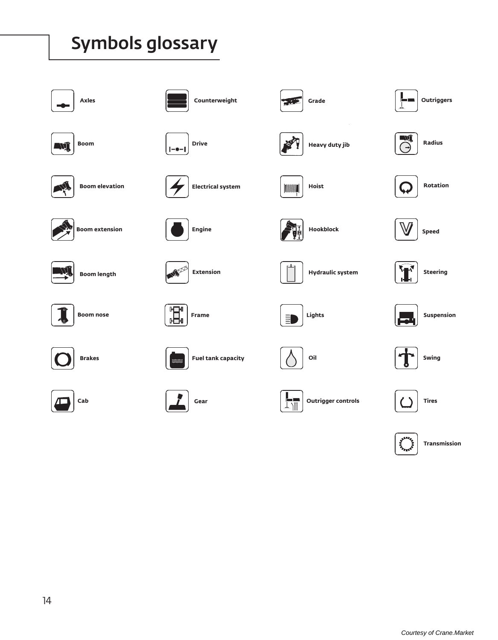# Symbols glossary



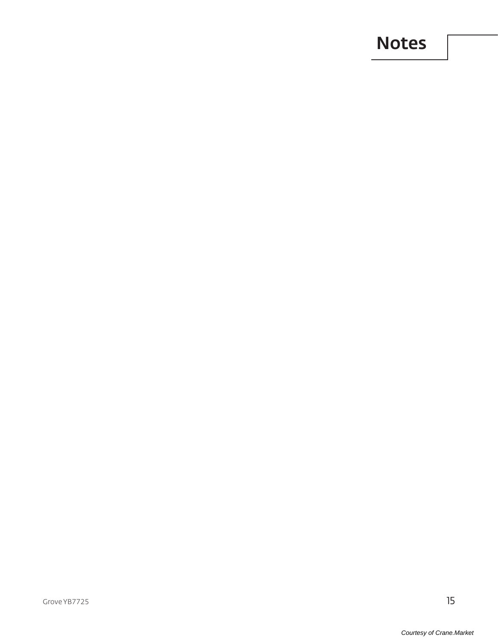## Notes